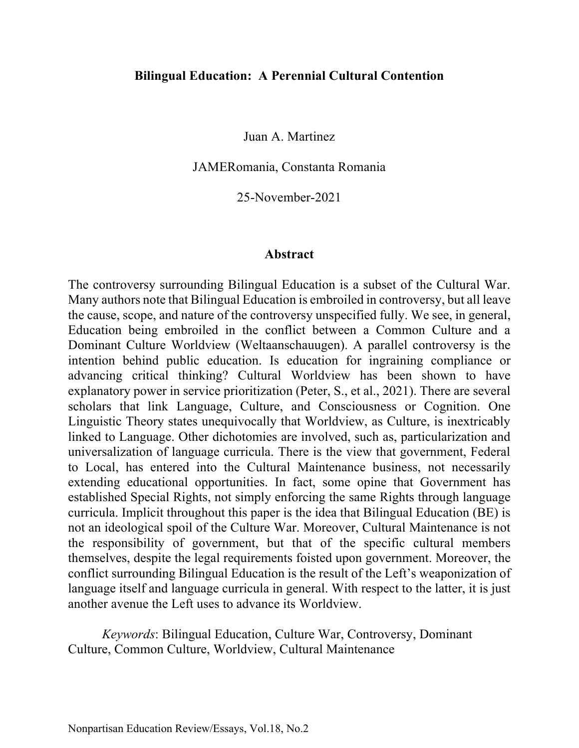### **Bilingual Education: A Perennial Cultural Contention**

Juan A. Martinez

JAMERomania, Constanta Romania

25-November-2021

#### **Abstract**

The controversy surrounding Bilingual Education is a subset of the Cultural War. Many authors note that Bilingual Education is embroiled in controversy, but all leave the cause, scope, and nature of the controversy unspecified fully. We see, in general, Education being embroiled in the conflict between a Common Culture and a Dominant Culture Worldview (Weltaanschauugen). A parallel controversy is the intention behind public education. Is education for ingraining compliance or advancing critical thinking? Cultural Worldview has been shown to have explanatory power in service prioritization (Peter, S., et al., 2021). There are several scholars that link Language, Culture, and Consciousness or Cognition. One Linguistic Theory states unequivocally that Worldview, as Culture, is inextricably linked to Language. Other dichotomies are involved, such as, particularization and universalization of language curricula. There is the view that government, Federal to Local, has entered into the Cultural Maintenance business, not necessarily extending educational opportunities. In fact, some opine that Government has established Special Rights, not simply enforcing the same Rights through language curricula. Implicit throughout this paper is the idea that Bilingual Education (BE) is not an ideological spoil of the Culture War. Moreover, Cultural Maintenance is not the responsibility of government, but that of the specific cultural members themselves, despite the legal requirements foisted upon government. Moreover, the conflict surrounding Bilingual Education is the result of the Left's weaponization of language itself and language curricula in general. With respect to the latter, it is just another avenue the Left uses to advance its Worldview.

*Keywords*: Bilingual Education, Culture War, Controversy, Dominant Culture, Common Culture, Worldview, Cultural Maintenance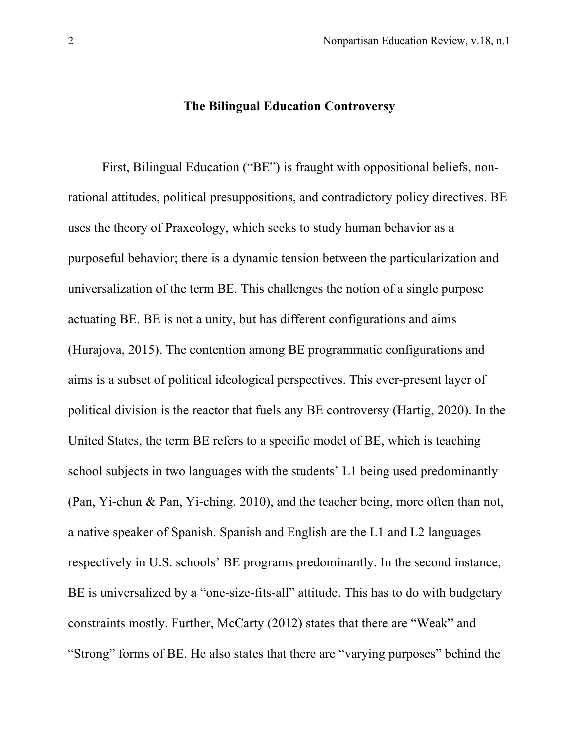### **The Bilingual Education Controversy**

First, Bilingual Education ("BE") is fraught with oppositional beliefs, nonrational attitudes, political presuppositions, and contradictory policy directives. BE uses the theory of Praxeology, which seeks to study human behavior as a purposeful behavior; there is a dynamic tension between the particularization and universalization of the term BE. This challenges the notion of a single purpose actuating BE. BE is not a unity, but has different configurations and aims (Hurajova, 2015). The contention among BE programmatic configurations and aims is a subset of political ideological perspectives. This ever-present layer of political division is the reactor that fuels any BE controversy (Hartig, 2020). In the United States, the term BE refers to a specific model of BE, which is teaching school subjects in two languages with the students' L1 being used predominantly (Pan, Yi-chun & Pan, Yi-ching. 2010), and the teacher being, more often than not, a native speaker of Spanish. Spanish and English are the L1 and L2 languages respectively in U.S. schools' BE programs predominantly. In the second instance, BE is universalized by a "one-size-fits-all" attitude. This has to do with budgetary constraints mostly. Further, McCarty (2012) states that there are "Weak" and "Strong" forms of BE. He also states that there are "varying purposes" behind the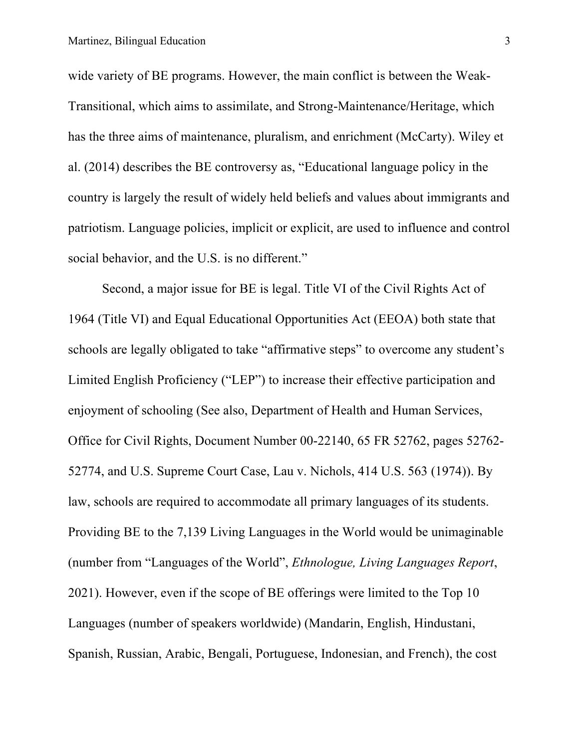wide variety of BE programs. However, the main conflict is between the Weak-Transitional, which aims to assimilate, and Strong-Maintenance/Heritage, which has the three aims of maintenance, pluralism, and enrichment (McCarty). Wiley et al. (2014) describes the BE controversy as, "Educational language policy in the country is largely the result of widely held beliefs and values about immigrants and patriotism. Language policies, implicit or explicit, are used to influence and control social behavior, and the U.S. is no different."

Second, a major issue for BE is legal. Title VI of the Civil Rights Act of 1964 (Title VI) and Equal Educational Opportunities Act (EEOA) both state that schools are legally obligated to take "affirmative steps" to overcome any student's Limited English Proficiency ("LEP") to increase their effective participation and enjoyment of schooling (See also, Department of Health and Human Services, Office for Civil Rights, Document Number 00-22140, 65 FR 52762, pages 52762- 52774, and U.S. Supreme Court Case, Lau v. Nichols, 414 U.S. 563 (1974)). By law, schools are required to accommodate all primary languages of its students. Providing BE to the 7,139 Living Languages in the World would be unimaginable (number from "Languages of the World", *Ethnologue, Living Languages Report*, 2021). However, even if the scope of BE offerings were limited to the Top 10 Languages (number of speakers worldwide) (Mandarin, English, Hindustani, Spanish, Russian, Arabic, Bengali, Portuguese, Indonesian, and French), the cost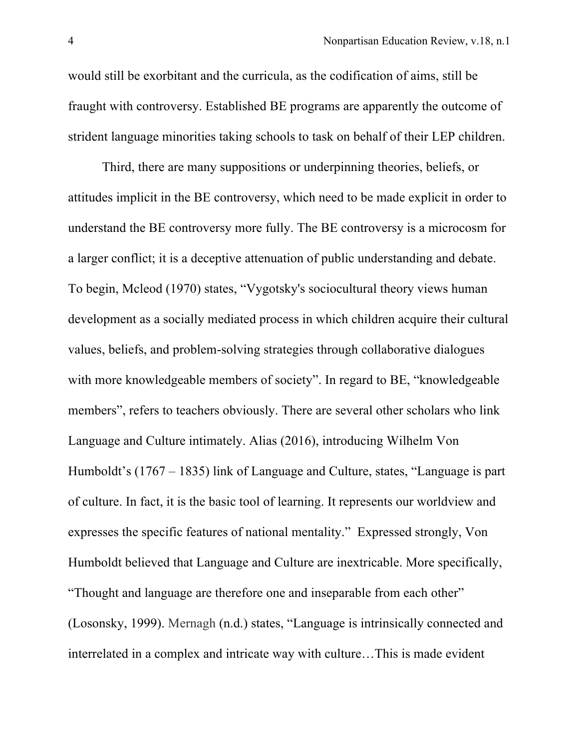would still be exorbitant and the curricula, as the codification of aims, still be fraught with controversy. Established BE programs are apparently the outcome of strident language minorities taking schools to task on behalf of their LEP children.

Third, there are many suppositions or underpinning theories, beliefs, or attitudes implicit in the BE controversy, which need to be made explicit in order to understand the BE controversy more fully. The BE controversy is a microcosm for a larger conflict; it is a deceptive attenuation of public understanding and debate. To begin, Mcleod (1970) states, "Vygotsky's sociocultural theory views human development as a socially mediated process in which children acquire their cultural values, beliefs, and problem-solving strategies through collaborative dialogues with more knowledgeable members of society". In regard to BE, "knowledgeable" members", refers to teachers obviously. There are several other scholars who link Language and Culture intimately. Alias (2016), introducing Wilhelm Von Humboldt's (1767 – 1835) link of Language and Culture, states, "Language is part of culture. In fact, it is the basic tool of learning. It represents our worldview and expresses the specific features of national mentality." Expressed strongly, Von Humboldt believed that Language and Culture are inextricable. More specifically, "Thought and language are therefore one and inseparable from each other" (Losonsky, 1999). Mernagh (n.d.) states, "Language is intrinsically connected and interrelated in a complex and intricate way with culture…This is made evident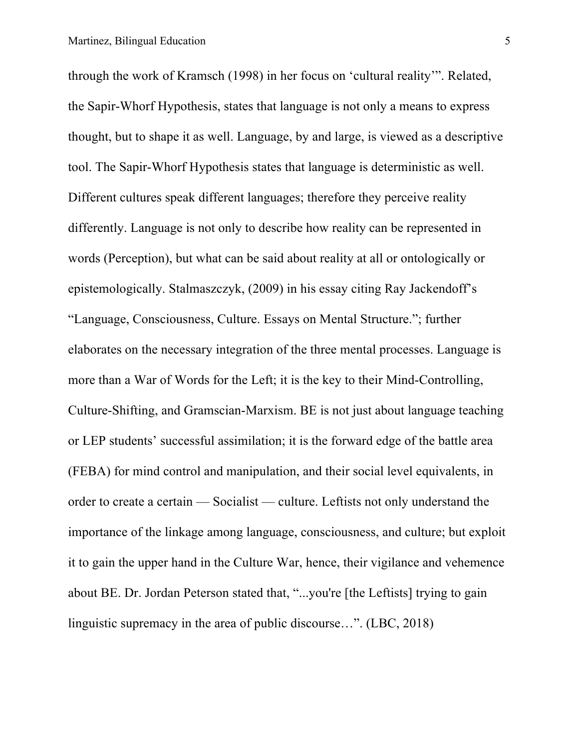through the work of Kramsch (1998) in her focus on 'cultural reality'". Related, the Sapir-Whorf Hypothesis, states that language is not only a means to express thought, but to shape it as well. Language, by and large, is viewed as a descriptive tool. The Sapir-Whorf Hypothesis states that language is deterministic as well. Different cultures speak different languages; therefore they perceive reality differently. Language is not only to describe how reality can be represented in words (Perception), but what can be said about reality at all or ontologically or epistemologically. Stalmaszczyk, (2009) in his essay citing Ray Jackendoff's "Language, Consciousness, Culture. Essays on Mental Structure."; further elaborates on the necessary integration of the three mental processes. Language is more than a War of Words for the Left; it is the key to their Mind-Controlling, Culture-Shifting, and Gramscian-Marxism. BE is not just about language teaching or LEP students' successful assimilation; it is the forward edge of the battle area (FEBA) for mind control and manipulation, and their social level equivalents, in order to create a certain — Socialist — culture. Leftists not only understand the importance of the linkage among language, consciousness, and culture; but exploit it to gain the upper hand in the Culture War, hence, their vigilance and vehemence about BE. Dr. Jordan Peterson stated that, "...you're [the Leftists] trying to gain linguistic supremacy in the area of public discourse…". (LBC, 2018)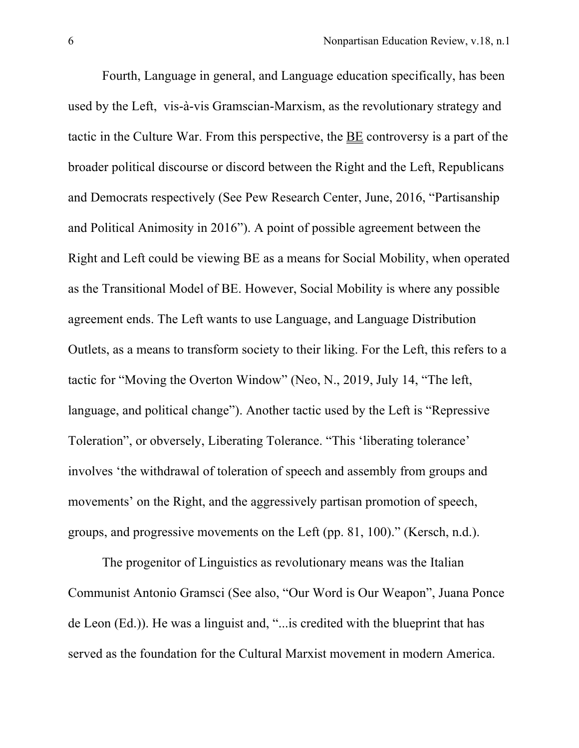Fourth, Language in general, and Language education specifically, has been used by the Left, vis-à-vis Gramscian-Marxism, as the revolutionary strategy and tactic in the Culture War. From this perspective, the BE controversy is a part of the broader political discourse or discord between the Right and the Left, Republicans and Democrats respectively (See Pew Research Center, June, 2016, "Partisanship and Political Animosity in 2016"). A point of possible agreement between the Right and Left could be viewing BE as a means for Social Mobility, when operated as the Transitional Model of BE. However, Social Mobility is where any possible agreement ends. The Left wants to use Language, and Language Distribution Outlets, as a means to transform society to their liking. For the Left, this refers to a tactic for "Moving the Overton Window" (Neo, N., 2019, July 14, "The left, language, and political change"). Another tactic used by the Left is "Repressive Toleration", or obversely, Liberating Tolerance. "This 'liberating tolerance' involves 'the withdrawal of toleration of speech and assembly from groups and movements' on the Right, and the aggressively partisan promotion of speech, groups, and progressive movements on the Left (pp. 81, 100)." (Kersch, n.d.).

The progenitor of Linguistics as revolutionary means was the Italian Communist Antonio Gramsci (See also, "Our Word is Our Weapon", Juana Ponce de Leon (Ed.)). He was a linguist and, "...is credited with the blueprint that has served as the foundation for the Cultural Marxist movement in modern America.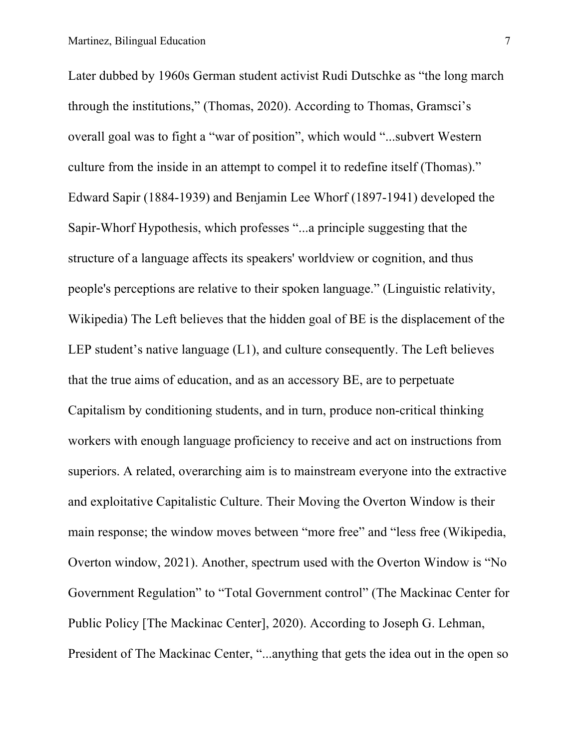Later dubbed by 1960s German student activist Rudi Dutschke as "the long march through the institutions," (Thomas, 2020). According to Thomas, Gramsci's overall goal was to fight a "war of position", which would "...subvert Western culture from the inside in an attempt to compel it to redefine itself (Thomas)." Edward Sapir (1884-1939) and Benjamin Lee Whorf (1897-1941) developed the Sapir-Whorf Hypothesis, which professes "...a principle suggesting that the structure of a language affects its speakers' worldview or cognition, and thus people's perceptions are relative to their spoken language." (Linguistic relativity, Wikipedia) The Left believes that the hidden goal of BE is the displacement of the LEP student's native language (L1), and culture consequently. The Left believes that the true aims of education, and as an accessory BE, are to perpetuate Capitalism by conditioning students, and in turn, produce non-critical thinking workers with enough language proficiency to receive and act on instructions from superiors. A related, overarching aim is to mainstream everyone into the extractive and exploitative Capitalistic Culture. Their Moving the Overton Window is their main response; the window moves between "more free" and "less free (Wikipedia, Overton window, 2021). Another, spectrum used with the Overton Window is "No Government Regulation" to "Total Government control" (The Mackinac Center for Public Policy [The Mackinac Center], 2020). According to Joseph G. Lehman, President of The Mackinac Center, "...anything that gets the idea out in the open so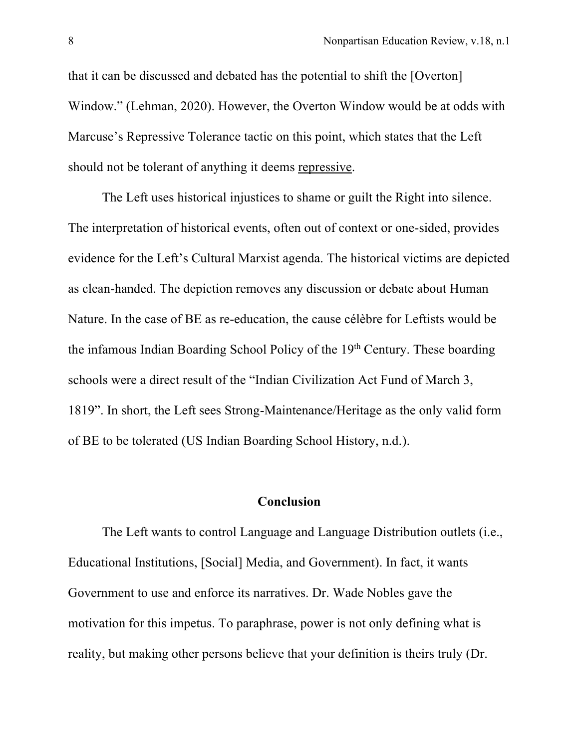that it can be discussed and debated has the potential to shift the [Overton] Window." (Lehman, 2020). However, the Overton Window would be at odds with Marcuse's Repressive Tolerance tactic on this point, which states that the Left should not be tolerant of anything it deems repressive.

The Left uses historical injustices to shame or guilt the Right into silence. The interpretation of historical events, often out of context or one-sided, provides evidence for the Left's Cultural Marxist agenda. The historical victims are depicted as clean-handed. The depiction removes any discussion or debate about Human Nature. In the case of BE as re-education, the cause célèbre for Leftists would be the infamous Indian Boarding School Policy of the 19<sup>th</sup> Century. These boarding schools were a direct result of the "Indian Civilization Act Fund of March 3, 1819". In short, the Left sees Strong-Maintenance/Heritage as the only valid form of BE to be tolerated (US Indian Boarding School History, n.d.).

## **Conclusion**

The Left wants to control Language and Language Distribution outlets (i.e., Educational Institutions, [Social] Media, and Government). In fact, it wants Government to use and enforce its narratives. Dr. Wade Nobles gave the motivation for this impetus. To paraphrase, power is not only defining what is reality, but making other persons believe that your definition is theirs truly (Dr.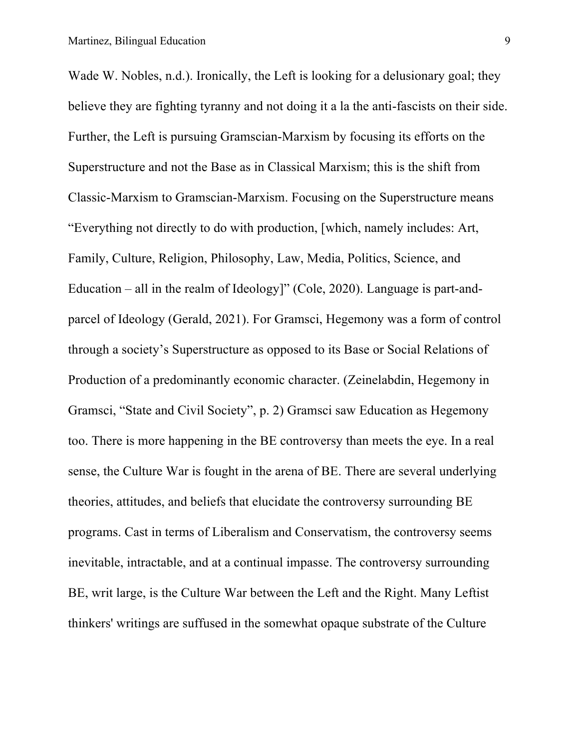Wade W. Nobles, n.d.). Ironically, the Left is looking for a delusionary goal; they believe they are fighting tyranny and not doing it a la the anti-fascists on their side. Further, the Left is pursuing Gramscian-Marxism by focusing its efforts on the Superstructure and not the Base as in Classical Marxism; this is the shift from Classic-Marxism to Gramscian-Marxism. Focusing on the Superstructure means "Everything not directly to do with production, [which, namely includes: Art, Family, Culture, Religion, Philosophy, Law, Media, Politics, Science, and Education – all in the realm of Ideology]" (Cole, 2020). Language is part-andparcel of Ideology (Gerald, 2021). For Gramsci, Hegemony was a form of control through a society's Superstructure as opposed to its Base or Social Relations of Production of a predominantly economic character. (Zeinelabdin, Hegemony in Gramsci, "State and Civil Society", p. 2) Gramsci saw Education as Hegemony too. There is more happening in the BE controversy than meets the eye. In a real sense, the Culture War is fought in the arena of BE. There are several underlying theories, attitudes, and beliefs that elucidate the controversy surrounding BE programs. Cast in terms of Liberalism and Conservatism, the controversy seems inevitable, intractable, and at a continual impasse. The controversy surrounding BE, writ large, is the Culture War between the Left and the Right. Many Leftist thinkers' writings are suffused in the somewhat opaque substrate of the Culture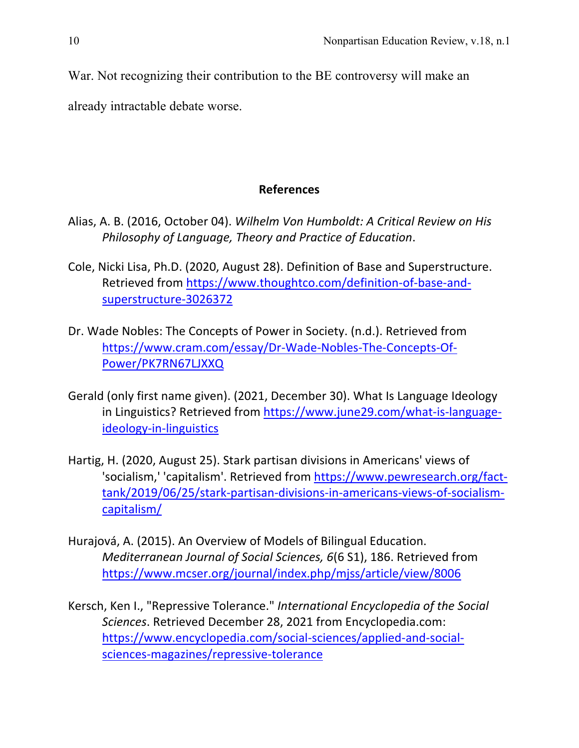War. Not recognizing their contribution to the BE controversy will make an

already intractable debate worse.

# **References**

- Alias, A. B. (2016, October 04). *Wilhelm Von Humboldt: A Critical Review on His Philosophy of Language, Theory and Practice of Education*.
- Cole, Nicki Lisa, Ph.D. (2020, August 28). Definition of Base and Superstructure. Retrieved from https://www.thoughtco.com/definition-of-base-andsuperstructure-3026372
- Dr. Wade Nobles: The Concepts of Power in Society. (n.d.). Retrieved from https://www.cram.com/essay/Dr-Wade-Nobles-The-Concepts-Of-Power/PK7RN67LJXXQ
- Gerald (only first name given). (2021, December 30). What Is Language Ideology in Linguistics? Retrieved from https://www.june29.com/what-is-languageideology-in-linguistics
- Hartig, H. (2020, August 25). Stark partisan divisions in Americans' views of 'socialism,' 'capitalism'. Retrieved from https://www.pewresearch.org/facttank/2019/06/25/stark-partisan-divisions-in-americans-views-of-socialismcapitalism/
- Hurajová, A. (2015). An Overview of Models of Bilingual Education. *Mediterranean Journal of Social Sciences, 6*(6 S1), 186. Retrieved from https://www.mcser.org/journal/index.php/mjss/article/view/8006
- Kersch, Ken I., "Repressive Tolerance." *International Encyclopedia of the Social Sciences*. Retrieved December 28, 2021 from Encyclopedia.com: https://www.encyclopedia.com/social-sciences/applied-and-socialsciences-magazines/repressive-tolerance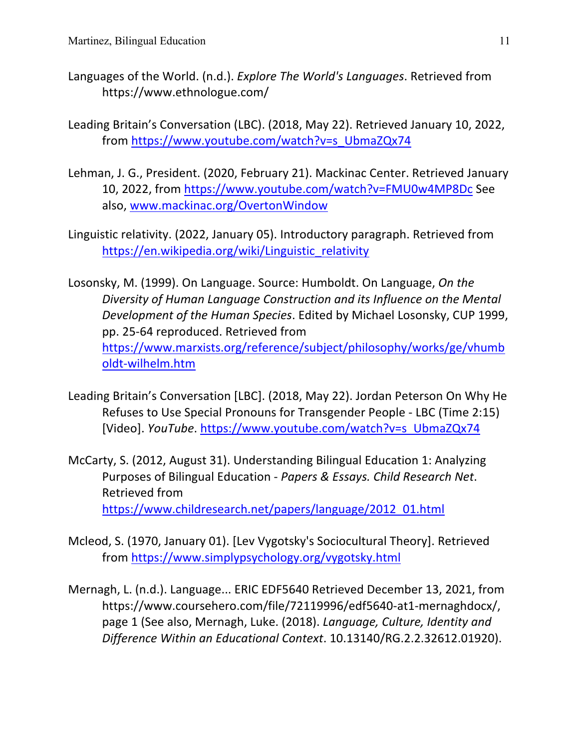- Languages of the World. (n.d.). *Explore The World's Languages*. Retrieved from https://www.ethnologue.com/
- Leading Britain's Conversation (LBC). (2018, May 22). Retrieved January 10, 2022, from https://www.youtube.com/watch?v=s\_UbmaZQx74
- Lehman, J. G., President. (2020, February 21). Mackinac Center. Retrieved January 10, 2022, from https://www.youtube.com/watch?v=FMU0w4MP8Dc See also, www.mackinac.org/OvertonWindow
- Linguistic relativity. (2022, January 05). Introductory paragraph. Retrieved from https://en.wikipedia.org/wiki/Linguistic\_relativity
- Losonsky, M. (1999). On Language. Source: Humboldt. On Language, *On the Diversity of Human Language Construction and its Influence on the Mental Development of the Human Species*. Edited by Michael Losonsky, CUP 1999, pp. 25-64 reproduced. Retrieved from https://www.marxists.org/reference/subject/philosophy/works/ge/vhumb oldt-wilhelm.htm
- Leading Britain's Conversation [LBC]. (2018, May 22). Jordan Peterson On Why He Refuses to Use Special Pronouns for Transgender People - LBC (Time 2:15) [Video]. *YouTube*. https://www.youtube.com/watch?v=s\_UbmaZQx74
- McCarty, S. (2012, August 31). Understanding Bilingual Education 1: Analyzing Purposes of Bilingual Education - *Papers & Essays. Child Research Net*. Retrieved from https://www.childresearch.net/papers/language/2012\_01.html
- Mcleod, S. (1970, January 01). [Lev Vygotsky's Sociocultural Theory]. Retrieved from https://www.simplypsychology.org/vygotsky.html
- Mernagh, L. (n.d.). Language... ERIC EDF5640 Retrieved December 13, 2021, from https://www.coursehero.com/file/72119996/edf5640-at1-mernaghdocx/, page 1 (See also, Mernagh, Luke. (2018). *Language, Culture, Identity and Difference Within an Educational Context*. 10.13140/RG.2.2.32612.01920).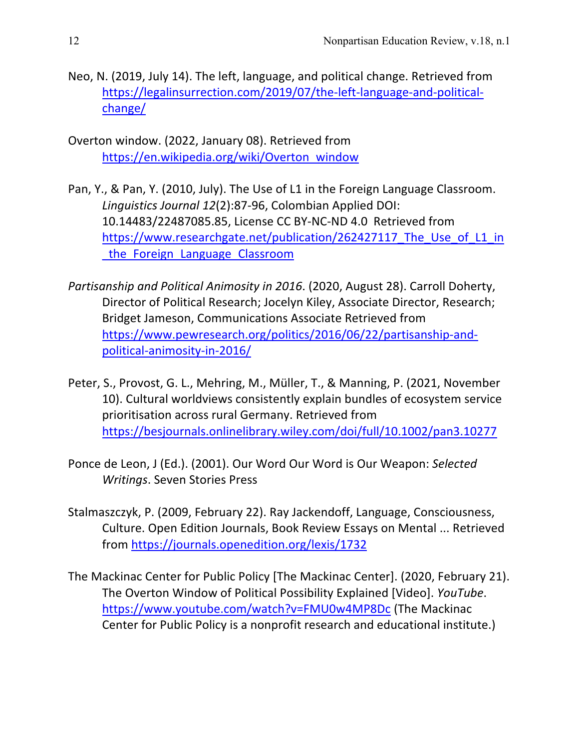- Neo, N. (2019, July 14). The left, language, and political change. Retrieved from https://legalinsurrection.com/2019/07/the-left-language-and-politicalchange/
- Overton window. (2022, January 08). Retrieved from https://en.wikipedia.org/wiki/Overton\_window
- Pan, Y., & Pan, Y. (2010, July). The Use of L1 in the Foreign Language Classroom. *Linguistics Journal 12*(2):87-96, Colombian Applied DOI: 10.14483/22487085.85, License CC BY-NC-ND 4.0 Retrieved from https://www.researchgate.net/publication/262427117 The Use of L1 in the Foreign Language Classroom
- *Partisanship and Political Animosity in 2016*. (2020, August 28). Carroll Doherty, Director of Political Research; Jocelyn Kiley, Associate Director, Research; Bridget Jameson, Communications Associate Retrieved from https://www.pewresearch.org/politics/2016/06/22/partisanship-andpolitical-animosity-in-2016/
- Peter, S., Provost, G. L., Mehring, M., Müller, T., & Manning, P. (2021, November 10). Cultural worldviews consistently explain bundles of ecosystem service prioritisation across rural Germany. Retrieved from https://besjournals.onlinelibrary.wiley.com/doi/full/10.1002/pan3.10277
- Ponce de Leon, J (Ed.). (2001). Our Word Our Word is Our Weapon: *Selected Writings*. Seven Stories Press
- Stalmaszczyk, P. (2009, February 22). Ray Jackendoff, Language, Consciousness, Culture. Open Edition Journals, Book Review Essays on Mental ... Retrieved from https://journals.openedition.org/lexis/1732
- The Mackinac Center for Public Policy [The Mackinac Center]. (2020, February 21). The Overton Window of Political Possibility Explained [Video]. *YouTube*. https://www.youtube.com/watch?v=FMU0w4MP8Dc (The Mackinac Center for Public Policy is a nonprofit research and educational institute.)